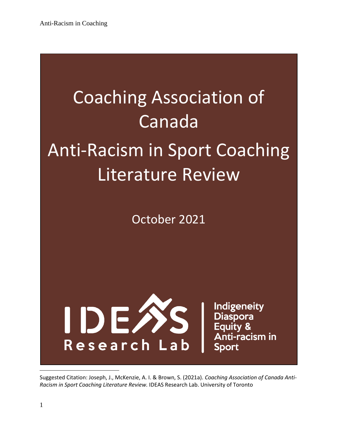# Coaching Association of Canada Anti-Racism in Sport Coaching Literature Review

October 2021



**Indigeneity** Diaspora<br>Equity & Anti-racism in **Sport** 

Suggested Citation: Joseph, J., McKenzie, A. I. & Brown, S. (2021a). *Coaching Association of Canada Anti-Racism in Sport Coaching Literature Review.* IDEAS Research Lab. University of Toronto

 $\overline{a}$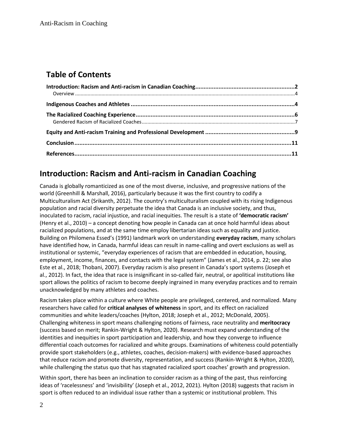## **Table of Contents**

#### <span id="page-1-0"></span>**Introduction: Racism and Anti-racism in Canadian Coaching**

Canada is globally romanticized as one of the most diverse, inclusive, and progressive nations of the world (Greenhill & Marshall, 2016), particularly because it was the first country to codify a Multiculturalism Act (Srikanth, 2012). The country's multiculturalism coupled with its rising Indigenous population and racial diversity perpetuate the idea that Canada is an inclusive society, and thus, inoculated to racism, racial injustice, and racial inequities. The result is a state of **'democratic racism'** (Henry et al., 2010) – a concept denoting how people in Canada can at once hold harmful ideas about racialized populations, and at the same time employ libertarian ideas such as equality and justice. Building on Philomena Essed's (1991) landmark work on understanding **everyday racism**, many scholars have identified how, in Canada, harmful ideas can result in name-calling and overt exclusions as well as institutional or systemic, "everyday experiences of racism that are embedded in education, housing, employment, income, finances, and contacts with the legal system" (James et al., 2014, p. 22; see also Este et al., 2018; Thobani, 2007). Everyday racism is also present in Canada's sport systems (Joseph et al., 2012). In fact, the idea that race is insignificant in so-called fair, neutral, or apolitical institutions like sport allows the politics of racism to become deeply ingrained in many everyday practices and to remain unacknowledged by many athletes and coaches.

Racism takes place within a culture where White people are privileged, centered, and normalized. Many researchers have called for **critical analyses of whiteness** in sport, and its effect on racialized communities and white leaders/coaches (Hylton, 2018; Joseph et al., 2012; McDonald, 2005). Challenging whiteness in sport means challenging notions of fairness, race neutrality and **meritocracy** (success based on merit; Rankin-Wright & Hylton, 2020). Research must expand understanding of the identities and inequities in sport participation and leadership, and how they converge to influence differential coach outcomes for racialized and white groups. Examinations of whiteness could potentially provide sport stakeholders (e.g., athletes, coaches, decision-makers) with evidence-based approaches that reduce racism and promote diversity, representation, and success (Rankin-Wright & Hylton, 2020), while challenging the status quo that has stagnated racialized sport coaches' growth and progression.

Within sport, there has been an inclination to consider racism as a thing of the past, thus reinforcing ideas of 'racelessness' and 'invisibility' (Joseph et al., 2012, 2021). Hylton (2018) suggests that racism in sport is often reduced to an individual issue rather than a systemic or institutional problem. This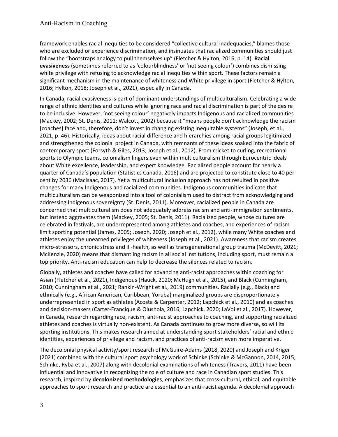framework enables racial inequities to be considered "collective cultural inadequacies," blames those who are excluded or experience discrimination, and insinuates that racialized communities should just follow the "bootstraps analogy to pull themselves up" (Fletcher & Hylton, 2016, p. 14). **Racial evasiveness** (sometimes referred to as 'colourblindness' or 'not seeing colour') combines dismissing white privilege with refusing to acknowledge racial inequities within sport. These factors remain a significant mechanism in the maintenance of whiteness and White privilege in sport (Fletcher & Hylton, 2016; Hylton, 2018; Joseph et al., 2021), especially in Canada.

In Canada, racial evasiveness is part of dominant understandings of multiculturalism. Celebrating a wide range of ethnic identities and cultures while ignoring race and racial discrimination is part of the desire to be inclusive. However, 'not seeing colour' negatively impacts Indigenous and racialized communities (Mackey, 2002; St. Denis, 2011; Walcott, 2002) because it "means people don't acknowledge the racism [coaches] face and, therefore, don't invest in changing existing inequitable systems" (Joseph, et al., 2021, p. 46). Historically, ideas about racial difference and hierarchies among racial groups legitimized and strengthened the colonial project in Canada, with remnants of these ideas soaked into the fabric of contemporary sport (Forsyth & Giles, 2013; Joseph et al., 2012). From cricket to curling, recreational sports to Olympic teams, colonialism lingers even within multiculturalism through Eurocentric ideals about White excellence, leadership, and expert knowledge. Racialized people account for nearly a quarter of Canada's population (Statistics Canada, 2016) and are projected to constitute close to 40 per cent by 2036 (MacIsaac, 2017). Yet a multicultural inclusion approach has not resulted in positive changes for many Indigenous and racialized communities. Indigenous communities indicate that multiculturalism can be weaponized into a tool of colonialism used to distract from acknowledging and addressing Indigenous sovereignty (St. Denis, 2011). Moreover, racialized people in Canada are concerned that multiculturalism does not adequately address racism and anti-immigration sentiments, but instead aggravates them (Mackey, 2005; St. Denis, 2011). Racialized people, whose cultures are celebrated in festivals, are underrepresented among athletes and coaches, and experiences of racism limit sporting potential (James, 2005; Joseph, 2020; Joseph et al., 2012), while many White coaches and athletes enjoy the unearned privileges of whiteness (Joseph et al., 2021). Awareness that racism creates micro-stressors, chronic stress and ill-health, as well as transgenerational group trauma (McDevitt, 2021; McKenzie, 2020) means that dismantling racism in all social institutions, including sport, must remain a top priority. Anti-racism education can help to decrease the silences related to racism.

Globally, athletes and coaches have called for advancing anti-racist approaches within coaching for Asian (Fletcher et al., 2021), Indigenous (Hauck, 2020; McHugh et al., 2015), and Black (Cunningham, 2010; Cunningham et al., 2021; Rankin-Wright et al., 2019) communities. Racially (e.g., Black) and ethnically (e.g., African American, Caribbean, Yoruba) marginalized groups are disproportionately underrepresented in sport as athletes (Acosta & Carpenter, 2012; Lapchick et al., 2010) and as coaches and decision-makers (Carter-Francique & Olushola, 2016; Lapchick, 2020; LaVoi et al., 2017). However, in Canada, research regarding race, racism, anti-racist approaches to coaching, and supporting racialized athletes and coaches is virtually non-existent. As Canada continues to grow more diverse, so will its sporting institutions. This makes research aimed at understanding sport stakeholders' racial and ethnic identities, experiences of privilege and racism, and practices of anti-racism even more imperative.

The decolonial physical activity/sport research of McGuire-Adams (2018, 2020) and Joseph and Kriger (2021) combined with the cultural sport psychology work of Schinke (Schinke & McGannon, 2014, 2015; Schinke, Ryba et al., 2007) along with decolonial examinations of whiteness (Travers, 2011) have been influential and innovative in recognizing the role of culture and race in Canadian sport studies. This research, inspired by **decolonized methodologies**, emphasizes that cross-cultural, ethical, and equitable approaches to sport research and practice are essential to an anti-racist agenda. A decolonial approach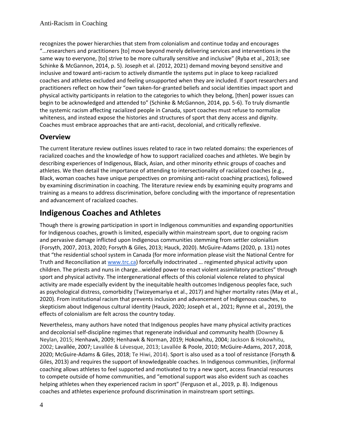recognizes the power hierarchies that stem from colonialism and continue today and encourages "...researchers and practitioners [to] move beyond merely delivering services and interventions in the same way to everyone, [to] strive to be more culturally sensitive and inclusive" (Ryba et al., 2013; see Schinke & McGannon, 2014, p. 5). Joseph et al. (2012, 2021) demand moving beyond sensitive and inclusive and toward anti-racism to actively dismantle the systems put in place to keep racialized coaches and athletes excluded and feeling unsupported when they are included. If sport researchers and practitioners reflect on how their "own taken-for-granted beliefs and social identities impact sport and physical activity participants in relation to the categories to which they belong, [then] power issues can begin to be acknowledged and attended to" (Schinke & McGannon, 2014, pp. 5-6). To truly dismantle the systemic racism affecting racialized people in Canada, sport coaches must refuse to normalize whiteness, and instead expose the histories and structures of sport that deny access and dignity. Coaches must embrace approaches that are anti-racist, decolonial, and critically reflexive.

#### <span id="page-3-0"></span>**Overview**

The current literature review outlines issues related to race in two related domains: the experiences of racialized coaches and the knowledge of how to support racialized coaches and athletes. We begin by describing experiences of Indigenous, Black, Asian, and other minority ethnic groups of coaches and athletes. We then detail the importance of attending to intersectionality of racialized coaches (e.g., Black, woman coaches have unique perspectives on promising anti-racist coaching practices), followed by examining discrimination in coaching. The literature review ends by examining equity programs and training as a means to address discrimination, before concluding with the importance of representation and advancement of racialized coaches.

#### <span id="page-3-1"></span>**Indigenous Coaches and Athletes**

Though there is growing participation in sport in Indigenous communities and expanding opportunities for Indigenous coaches, growth is limited, especially within mainstream sport, due to ongoing racism and pervasive damage inflicted upon Indigenous communities stemming from settler colonialism (Forsyth, 2007, 2013, 2020; Forsyth & Giles, 2013; Hauck, 2020). McGuire-Adams (2020, p. 131) notes that "the residential school system in Canada (for more information please visit the National Centre for Truth and Reconciliation at [www.trc.ca](http://www.trc.ca/)) forcefully indoctrinated … regimented physical activity upon children. The priests and nuns in charge…wielded power to enact violent assimilatory practices" through sport and physical activity. The intergenerational effects of this colonial violence related to physical activity are made especially evident by the inequitable health outcomes Indigenous peoples face, such as psychological distress, comorbidity (Twizeyemariya et al., 2017) and higher mortality rates (May et al., 2020). From institutional racism that prevents inclusion and advancement of Indigenous coaches, to skepticism about Indigenous cultural identity (Hauck, 2020; Joseph et al., 2021; Rynne et al., 2019), the effects of colonialism are felt across the country today.

Nevertheless, many authors have noted that Indigenous peoples have many physical activity practices and decolonial self-discipline regimes that regenerate individual and community health (Downey & Neylan, 2015; Henhawk, 2009; Henhawk & Norman, 2019; Hokowhitu, 2004; Jackson & Hokowhitu, 2002; Lavallée, 2007; Lavallée & Lévesque, 2013; Lavallée & Poole, 2010; McGuire-Adams, 2017, 2018, 2020; McGuire-Adams & Giles, 2018; Te Hiwi, 2014). Sport is also used as a tool of resistance (Forsyth & Giles, 2013) and requires the support of knowledgeable coaches. In Indigenous communities, (in)formal coaching allows athletes to feel supported and motivated to try a new sport, access financial resources to compete outside of home communities, and "emotional support was also evident such as coaches helping athletes when they experienced racism in sport" (Ferguson et al., 2019, p. 8). Indigenous coaches and athletes experience profound discrimination in mainstream sport settings.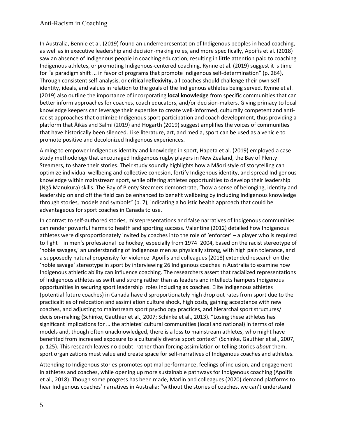#### Anti-Racism in Coaching

In Australia, Bennie et al. (2019) found an underrepresentation of Indigenous peoples in head coaching, as well as in executive leadership and decision-making roles, and more specifically, Apoifis et al. (2018) saw an absence of Indigenous people in coaching education, resulting in little attention paid to coaching Indigenous athletes, or promoting Indigenous-centered coaching. Rynne et al. (2019) suggest it is time for "a paradigm shift ... in favor of programs that promote Indigenous self-determination" (p. 264), Through consistent self-analysis, or **critical reflexivity,** all coaches should challenge their own selfidentity, ideals, and values in relation to the goals of the Indigenous athletes being served. Rynne et al. (2019) also outline the importance of incorporating **local knowledge** from specific communities that can better inform approaches for coaches, coach educators, and/or decision-makers. Giving primacy to local knowledge keepers can leverage their expertise to create well-informed, culturally competent and antiracist approaches that optimize Indigenous sport participation and coach development, thus providing a platform that Äikäs and Salmi (2019) and Hogarth (2019) suggest amplifies the voices of communities that have historically been silenced. Like literature, art, and media, sport can be used as a vehicle to promote positive and decolonized Indigenous experiences.

Aiming to empower Indigenous identity and knowledge in sport, Hapeta et al. (2019) employed a case study methodology that encouraged Indigenous rugby players in New Zealand, the Bay of Plenty Steamers, to share their stories. Their study soundly highlights how a Māori style of storytelling [can](https://librarysearch.library.utoronto.ca/discovery/fulldisplay?docid=cdi_proquest_miscellaneous_2229096992&context=PC&vid=01UTORONTO_INST:UTORONTO&lang=en&search_scope=UTL_AND_CI&adaptor=Primo%20Central&tab=Everything&query=any%2Ccontains%2Cindigenous%20sport%20coach&offset=0)  [optimize](https://librarysearch.library.utoronto.ca/discovery/fulldisplay?docid=cdi_proquest_miscellaneous_2229096992&context=PC&vid=01UTORONTO_INST:UTORONTO&lang=en&search_scope=UTL_AND_CI&adaptor=Primo%20Central&tab=Everything&query=any%2Ccontains%2Cindigenous%20sport%20coach&offset=0) individual wellbeing and collective cohesion, fortify Indigenous identity, and spread Indigenous knowledge within mainstream sport, while offering athletes opportunities to develop their leadership (Ngā Manukura) skills. The Bay of Plenty Steamers demonstrate, "how a sense of belonging, identity and leadership on and off the field can be enhanced to benefit wellbeing by including Indigenous knowledge through stories, models and symbols" (p. 7), indicating a holistic health approach that could be advantageous for sport coaches in Canada to use.

In contrast to self-authored stories, misrepresentations and false narratives of Indigenous communities can render powerful harms to health and sporting success. Valentine (2012) detailed how Indigenous athletes were disproportionately invited by coaches into the role of 'enforcer' – a player who is required to fight – in men's professional ice hockey, especially from 1974–2004, based on the racist stereotype of 'noble savages,' an understanding of Indigenous men as physically strong, with high pain tolerance, and a supposedly natural propensity for violence. Apoifis and colleagues (2018) extended research on the 'noble savage' stereotype in sport by interviewing 26 Indigenous coaches in Australia to examine how Indigenous athletic ability can influence coaching. The researchers assert that racialized representations of Indigenous athletes as swift and strong rather than as leaders and intellects hampers Indigenous opportunities in securing sport leadership roles including as coaches. Elite Indigenous athletes (potential future coaches) in Canada have disproportionately high drop out rates from sport due to the practicalities of relocation and assimilation culture shock, high costs, gaining acceptance with new coaches, and adjusting to mainstream sport psychology practices, and hierarchal sport structures/ decision-making (Schinke, Gauthier et al., 2007; Schinke et al., 2013). "Losing these athletes has significant implications for … the athletes' cultural communities (local and national) in terms of role models and, though often unacknowledged, there is a loss to mainstream athletes, who might have benefited from increased exposure to a culturally diverse sport context" (Schinke, Gauthier et al., 2007, p. 125). This research leaves no doubt: rather than forcing assimilation or telling stories *about* them, sport organizations must value and create space for self-narratives of Indigenous coaches and athletes.

Attending to Indigenous stories promotes optimal performance, feelings of inclusion, and engagement in athletes and coaches, while opening up more sustainable pathways for Indigenous coaching (Apoifis et al., 2018). Though some progress has been made, Marlin and colleagues (2020) demand platforms to hear Indigenous coaches' narratives in Australia: "without the stories of coaches, we can't understand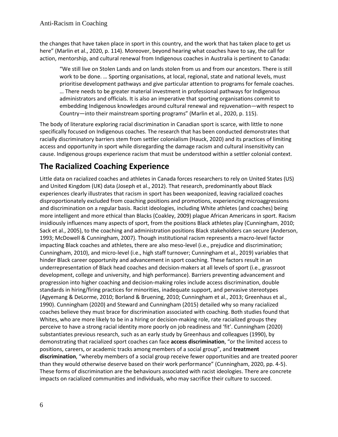the changes that have taken place in sport in this country, and the work that has taken place to get us here" (Marlin et al., 2020, p. 114). Moreover, beyond hearing what coaches have to say, the call for action, mentorship, and cultural renewal from Indigenous coaches in Australia is pertinent to Canada:

"We still live on Stolen Lands and on lands stolen from us and from our ancestors. There is still work to be done. … Sporting organisations, at local, regional, state and national levels, must prioritise development pathways and give particular attention to programs for female coaches. … There needs to be greater material investment in professional pathways for Indigenous administrators and officials. It is also an imperative that sporting organisations commit to embedding Indigenous knowledges around cultural renewal and rejuvenation—with respect to Country—into their mainstream sporting programs" (Marlin et al., 2020, p. 115).

The body of literature exploring racial discrimination in Canadian sport is scarce, with little to none specifically focused on Indigenous coaches. The research that has been conducted demonstrates that racially discriminatory barriers stem from settler colonialism (Hauck, 2020) and its practices of limiting access and opportunity in sport while disregarding the damage racism and cultural insensitivity can cause. Indigenous groups experience racism that must be understood within a settler colonial context.

# <span id="page-5-0"></span>**The Racialized Coaching Experience**

Little data on racialized coaches and athletes in Canada forces researchers to rely on United States (US) and United Kingdom (UK) data (Joseph et al., 2012). That research, predominantly about Black experiences clearly illustrates that racism in sport has been weaponized, leaving racialized coaches disproportionately excluded from coaching positions and promotions, experiencing microaggressions and discrimination on a regular basis. Racist ideologies, including White athletes (and coaches) being more intelligent and more ethical than Blacks (Coakley, 2009) plague African Americans in sport. Racism insidiously influences many aspects of sport, from the positions Black athletes play (Cunningham, 2010; Sack et al., 2005), to the coaching and administration positions Black stakeholders can secure (Anderson, 1993; McDowell & Cunningham, 2007). Though institutional racism represents a macro-level factor impacting Black coaches and athletes, there are also meso-level (i.e., prejudice and discrimination; Cunningham, 2010), and micro-level (i.e., high staff turnover; Cunningham et al., 2019) variables that hinder Black career opportunity and advancement in sport coaching. These factors result in an underrepresentation of Black head coaches and decision-makers at all levels of sport (i.e., grassroot development, college and university, and high performance). Barriers preventing advancement and progression into higher coaching and decision-making roles include access discrimination, double standards in hiring/firing practices for minorities, inadequate support, and pervasive stereotypes (Agyemang & DeLorme, 2010; Borland & Bruening, 2010; Cunningham et al., 2013; Greenhaus et al., 1990). Cunningham (2020) and Steward and Cunningham (2015) detailed why so many racialized coaches believe they must brace for discrimination associated with coaching. Both studies found that Whites, who are more likely to be in a hiring or decision-making role, rate racialized groups they perceive to have a strong racial identity more poorly on job readiness and 'fit'. Cunningham (2020) substantiates previous research, such as an early study by Greenhaus and colleagues (1990), by demonstrating that racialized sport coaches can face **access discrimination**, "or the limited access to positions, careers, or academic tracks among members of a social group", and **treatment discrimination**, "whereby members of a social group receive fewer opportunities and are treated poorer than they would otherwise deserve based on their work performance" (Cunningham, 2020, pp. 4-5). These forms of discrimination are the behaviours associated with racist ideologies. There are concrete impacts on racialized communities and individuals, who may sacrifice their culture to succeed.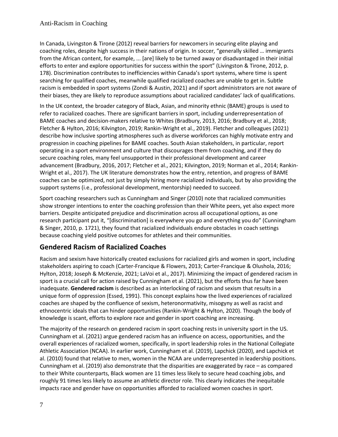In Canada, Livingston & Tirone (2012) reveal barriers for newcomers in securing elite playing and coaching roles, despite high success in their nations of origin. In soccer, "generally skilled … immigrants from the African content, for example, ... [are] likely to be turned away or disadvantaged in their initial efforts to enter and explore opportunities for success within the sport" (Livingston & Tirone, 2012, p. 178). Discrimination contributes to inefficiencies within Canada's sport systems, where time is spent searching for qualified coaches, meanwhile qualified racialized coaches are unable to get in. Subtle racism is embedded in sport systems (Zondi & Austin, 2021) and if sport administrators are not aware of their biases, they are likely to reproduce assumptions about racialized candidates' lack of qualifications.

In the UK context, the broader category of Black, Asian, and minority ethnic (BAME) groups is used to refer to racialized coaches. There are significant barriers in sport, including underrepresentation of BAME coaches and decision-makers relative to Whites (Bradbury, 2013, 2016; Bradbury et al., 2018; Fletcher & Hylton, 2016; Kilvington, 2019; Rankin-Wright et al., 2019). Fletcher and colleagues (2021) describe how inclusive sporting atmospheres such as diverse workforces can highly motivate entry and progression in coaching pipelines for BAME coaches. South Asian stakeholders, in particular, report operating in a sport environment and culture that discourages them from coaching, and if they do secure coaching roles, many feel unsupported in their professional development and career advancement (Bradbury, 2016, 2017; Fletcher et al., 2021; Kilvington, 2019; Norman et al., 2014; Rankin-Wright et al., 2017). The UK literature demonstrates how the entry, retention, and progress of BAME coaches can be optimized, not just by simply hiring more racialized individuals, but by also providing the support systems (i.e., professional development, mentorship) needed to succeed.

Sport coaching researchers such as Cunningham and Singer (2010) note that racialized communities show stronger intentions to enter the coaching profession than their White peers, yet also expect more barriers. Despite anticipated prejudice and discrimination across all occupational options, as one research participant put it, "[discrimination] is everywhere you go and everything you do" (Cunningham & Singer, 2010, p. 1721), they found that racialized individuals endure obstacles in coach settings because coaching yield positive outcomes for athletes and their communities.

#### <span id="page-6-0"></span>**Gendered Racism of Racialized Coaches**

Racism and sexism have historically created exclusions for racialized girls and women in sport, including stakeholders aspiring to coach (Carter-Francique & Flowers, 2013; Carter-Francique & Olushola, 2016; Hylton, 2018; Joseph & McKenzie, 2021; LaVoi et al., 2017). Minimizing the impact of gendered racism in sport is a crucial call for action raised by Cunningham et al. (2021), but the efforts thus far have been inadequate. **Gendered racism** is described as an interlocking of racism and sexism that results in a unique form of oppression (Essed, 1991). This concept explains how the lived experiences of racialized coaches are shaped by the confluence of sexism, heteronormativity, misogyny as well as racist and ethnocentric ideals that can hinder opportunities (Rankin-Wright & Hylton, 2020). Though the body of knowledge is scant, efforts to explore race and gender in sport coaching are increasing.

The majority of the research on gendered racism in sport coaching rests in university sport in the US. Cunningham et al. (2021) argue gendered racism has an influence on access, opportunities, and the overall experiences of racialized women, specifically, in sport leadership roles in th[e National Collegiate](https://en.wikipedia.org/wiki/National_Collegiate_Athletic_Association)  [Athletic Association](https://en.wikipedia.org/wiki/National_Collegiate_Athletic_Association) (NCAA). In earlier work, Cunningham et al. (2019), Lapchick (2020), and Lapchick et al. (2010) found that relative to men, women in the [N](https://en.wikipedia.org/wiki/National_Collegiate_Athletic_Association)CAA are underrepresented in leadership positions. Cunningham et al. (2019) also demonstrate that the disparities are exaggerated by race – as compared to their White counterparts, Black women are 11 times less likely to secure head coaching jobs, and roughly 91 times less likely to assume an athletic director role. This clearly indicates the inequitable impacts race and gender have on opportunities afforded to racialized women coaches in sport.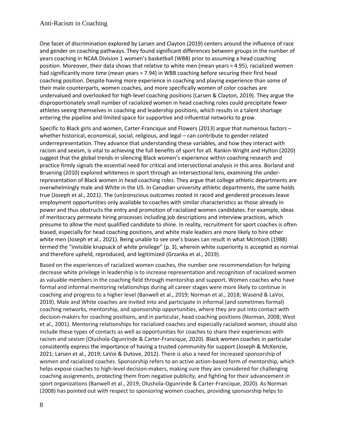One facet of discrimination explored by Larsen and Clayton (2019) centers around the influence of race and gender on coaching pathways. They found significant differences between groups in the number of years coaching in NCAA Division 1 women's basketball (WBB) prior to assuming a head coaching position. Moreover, their data shows that relative to white men (mean years = 4.95), racialized women had significantly more time (mean years = 7.94) in WBB coaching before securing their first head coaching position. Despite having more experience in coaching and playing experience than some of their male counterparts, women coaches, and more specifically women of color coaches are undervalued and overlooked for high-level coaching positions (Larsen & Clayton, 2019). They argue the disproportionately small number of racialized women in head coaching roles could precipitate fewer athletes seeing themselves in coaching and leadership positions, which results in a talent shortage entering the pipeline and limited space for supportive and influential networks to grow.

Specific to Black girls and women, Carter-Francique and Flowers (2013) argue that numerous factors – whether historical, economical, social, religious, and legal – can contribute to gender-related underrepresentation. They advance that understanding these variables, and how they interact with racism and sexism, is vital to achieving the full benefits of sport for all. Rankin-Wright and Hylton (2020) suggest that the global trends in silencing Black women's experience within coaching research and practice firmly signals the essential need for critical and intersectional analysis in this area. Borland and Bruening (2010) explored whiteness in sport through an intersectional lens, examining the underrepresentation of Black women in head coaching roles. They argue that college athletic departments are overwhelmingly male and White in the US. In Canadian university athletic departments, the same holds true (Joseph et al., 2021). The (un)conscious outcomes rooted in raced and gendered processes leave employment opportunities only available to coaches with similar characteristics as those already in power and thus obstructs the entry and promotion of racialized women candidates. For example, ideas of meritocracy permeate hiring processes including job descriptions and interview practices, which presume to allow the most qualified candidate to shine. In reality, recruitment for sport coaches is often biased, especially for head coaching positions, and white male leaders are more likely to hire other white men (Joseph et al., 2021). Being unable to see one's biases can result in what McIntosh (1988) termed the "invisible knapsack of white privilege" (p. 3), wherein white superiority is accepted as normal and therefore upheld, reproduced, and legitimized (Grzanka et al., 2019).

Based on the experiences of racialized women coaches, the number one recommendation for helping decrease white privilege in leadership is to increase representation and recognition of racialized women as valuable members in the coaching field through mentorship and support. Women coaches who have formal and informal mentoring relationships during all career stages were more likely to continue in coaching and progress to a higher level (Banwell et al., 2019; Norman et al., 2018; Wasend & LaVoi, 2019). Male and White coaches are invited into and participate in informal (and sometimes formal) coaching networks, mentorship, and sponsorship opportunities, where they are put into contact with decision-makers for coaching positions, and in particular, head coaching positions (Norman, 2008; West et al., 2001). Mentoring relationships for racialized coaches and especially racialized women, should also include these types of contacts as well as opportunities for coaches to share their experiences with racism and sexism (Olushola-Ogunrinde & Carter-Francique, 2020). Black women coaches in particular consistently express the importance of having a trusted community for support (Joseph & McKenzie, 2021; Larsen et al., 2019; LaVoi & Dutove, 2012). There is also a need for increased sponsorship of women and racialized coaches. Sponsorship refers to an active action-based form of mentorship, which helps expose coaches to high-level decision-makers, making sure they are considered for challenging coaching assignments, protecting them from negative publicity, and fighting for their advancement in sport organizations (Banwell et al., 2019; Olushola-Ogunrinde & Carter-Francique, 2020). As Norman (2008) has pointed out with respect to sponsoring women coaches, providing sponsorship helps to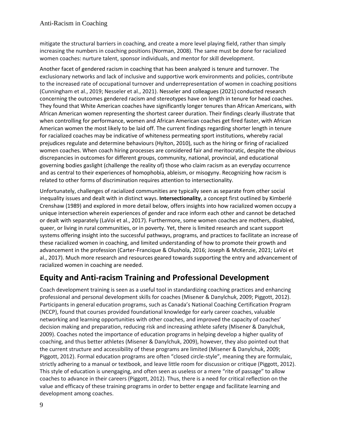mitigate the structural barriers in coaching, and create a more level playing field, rather than simply increasing the numbers in coaching positions (Norman, 2008). The same must be done for racialized women coaches: nurture talent, sponsor individuals, and mentor for skill development.

Another facet of gendered racism in coaching that has been analyzed is tenure and turnover. The exclusionary networks and lack of inclusive and supportive work environments and policies, contribute to the increased rate of occupational turnover and underrepresentation of women in coaching positions (Cunningham et al., 2019; Nesseler et al., 2021). Nesseler and colleagues (2021) conducted research concerning the outcomes gendered racism and stereotypes have on length in tenure for head coaches. They found that White American coaches have significantly longer tenures than African Americans, with African American women representing the shortest career duration. Their findings clearly illustrate that when controlling for performance, women and African American coaches get fired faster, with African American women the most likely to be laid off. The current findings regarding shorter length in tenure for racialized coaches may be indicative of whiteness permeating sport institutions, whereby racial prejudices regulate and determine behaviours (Hylton, 2010), such as the hiring or firing of racialized women coaches. When coach hiring processes are considered fair and meritocratic, despite the obvious discrepancies in outcomes for different groups, community, national, provincial, and educational governing bodies gaslight (challenge the reality of) those who claim racism as an everyday occurrence and as central to their experiences of homophobia, ableism, or misogyny. Recognizing how racism is related to other forms of discrimination requires attention to intersectionality.

Unfortunately, challenges of racialized communities are typically seen as separate from other social inequality issues and dealt with in distinct ways. **Intersectionality**, a concept first outlined by Kimberlé Crenshaw (1989) and explored in more detail below, offers insights into how racialized women occupy a unique intersection wherein experiences of gender and race inform each other and cannot be detached or dealt with separately (LaVoi et al., 2017). Furthermore, some women coaches are mothers, disabled, queer, or living in rural communities, or in poverty. Yet, there is limited research and scant support systems offering insight into the successful pathways, programs, and practices to facilitate an increase of these racialized women in coaching, and limited understanding of how to promote their growth and advancement in the profession (Carter-Francique & Olushola, 2016; Joseph & McKenzie, 2021; LaVoi et al., 2017). Much more research and resources geared towards supporting the entry and advancement of racialized women in coaching are needed.

#### <span id="page-8-0"></span>**Equity and Anti-racism Training and Professional Development**

Coach development training is seen as a useful tool in standardizing coaching practices and enhancing professional and personal development skills for coaches (Misener & Danylchuk, 2009; Piggott, 2012). Participants in general education programs, such as Canada's National Coaching Certification Program (NCCP), found that courses provided foundational knowledge for early career coaches, valuable networking and learning opportunities with other coaches, and improved the capacity of coaches' decision making and preparation, reducing risk and increasing athlete safety (Misener & Danylchuk, 2009). Coaches noted the importance of education programs in helping develop a higher quality of coaching, and thus better athletes (Misener & Danylchuk, 2009), however, they also pointed out that the current structure and accessibility of these programs are limited (Misener & Danylchuk, 2009; Piggott, 2012). Formal education programs are often "closed circle-style", meaning they are formulaic, strictly adhering to a manual or textbook, and leave little room for discussion or critique (Piggott, 2012). This style of education is unengaging, and often seen as useless or a mere "rite of passage" to allow coaches to advance in their careers (Piggott, 2012). Thus, there is a need for critical reflection on the value and efficacy of these training programs in order to better engage and facilitate learning and development among coaches.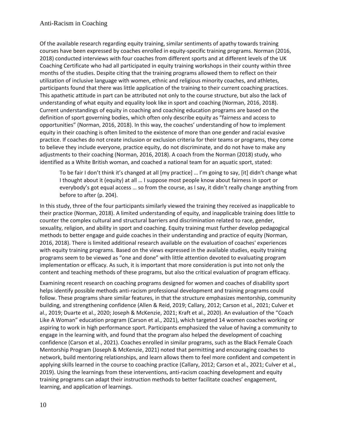Of the available research regarding equity training, similar sentiments of apathy towards training courses have been expressed by coaches enrolled in equity-specific training programs. Norman (2016, 2018) conducted interviews with four coaches from different sports and at different levels of the UK Coaching Certificate who had all participated in equity training workshops in their county within three months of the studies. Despite citing that the training programs allowed them to reflect on their utilization of inclusive language with women, ethnic and religious minority coaches, and athletes, participants found that there was little application of the training to their current coaching practices. This apathetic attitude in part can be attributed not only to the course structure, but also the lack of understanding of what equity and equality look like in sport and coaching (Norman, 2016, 2018). Current understandings of equity in coaching and coaching education programs are based on the definition of sport governing bodies, which often only describe equity as "fairness and access to opportunities" (Norman, 2016, 2018). In this way, the coaches' understanding of how to implement equity in their coaching is often limited to the existence of more than one gender and racial evasive practice. If coaches do not create inclusion or exclusion criteria for their teams or programs, they come to believe they include everyone, practice equity, do not discriminate, and do not have to make any adjustments to their coaching (Norman, 2016, 2018). A coach from the Norman (2018) study, who identified as a White British woman, and coached a national team for an aquatic sport, stated:

To be fair I don't think it's changed at all [my practice] … I'm going to say, [it] didn't change what I thought about it (equity) at all … I suppose most people know about fairness in sport or everybody's got equal access … so from the course, as I say, it didn't really change anything from before to after (p. 204).

In this study, three of the four participants similarly viewed the training they received as inapplicable to their practice (Norman, 2018). A limited understanding of equity, and inapplicable training does little to counter the complex cultural and structural barriers and discrimination related to race, gender, sexuality, religion, and ability in sport and coaching. Equity training must further develop pedagogical methods to better engage and guide coaches in their understanding and practice of equity (Norman, 2016, 2018). There is limited additional research available on the evaluation of coaches' experiences with equity training programs. Based on the views expressed in the available studies, equity training programs seem to be viewed as "one and done" with little attention devoted to evaluating program implementation or efficacy. As such, it is important that more consideration is put into not only the content and teaching methods of these programs, but also the critical evaluation of program efficacy.

Examining recent research on coaching programs designed for women and coaches of disability sport helps identify possible methods anti-racism professional development and training programs could follow. These programs share similar features, in that the structure emphasizes mentorship, community building, and strengthening confidence (Allen & Reid, 2019; Callary, 2012; Carson et al., 2021; Culver et al., 2019; Duarte et al., 2020; Joseph & McKenzie, 2021; Kraft et al., 2020). An evaluation of the "Coach Like A Woman" education program (Carson et al., 2021), which targeted 14 women coaches working or aspiring to work in high performance sport. Participants emphasized the value of having a community to engage in the learning with, and found that the program also helped the development of coaching confidence (Carson et al., 2021). Coaches enrolled in similar programs, such as the Black Female Coach Mentorship Program (Joseph & McKenzie, 2021) noted that permitting and encouraging coaches to network, build mentoring relationships, and learn allows them to feel more confident and competent in applying skills learned in the course to coaching practice (Callary, 2012; Carson et al., 2021; Culver et al., 2019). Using the learnings from these interventions, anti-racism coaching development and equity training programs can adapt their instruction methods to better facilitate coaches' engagement, learning, and application of learnings.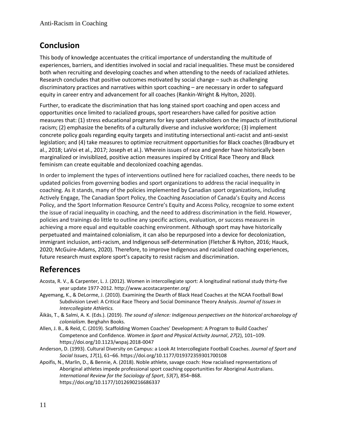## <span id="page-10-0"></span>**Conclusion**

This body of knowledge accentuates the critical importance of understanding the multitude of experiences, barriers, and identities involved in social and racial inequalities. These must be considered both when recruiting and developing coaches and when attending to the needs of racialized athletes. Research concludes that positive outcomes motivated by social change – such as challenging discriminatory practices and narratives within sport coaching – are necessary in order to safeguard equity in career entry and advancement for all coaches (Rankin-Wright & Hylton, 2020).

Further, to eradicate the discrimination that has long stained sport coaching and open access and opportunities once limited to racialized groups, sport researchers have called for positive action measures that: (1) stress educational programs for key sport stakeholders on the impacts of institutional racism; (2) emphasize the benefits of a culturally diverse and inclusive workforce; (3) implement concrete policy goals regarding equity targets and instituting intersectional anti-racist and anti-sexist legislation; and (4) take measures to optimize recruitment opportunities for Black coaches (Bradbury et al., 2018; LaVoi et al., 2017; Joseph et al.). Wherein issues of race and gender have historically been marginalized or invisiblized, positive action measures inspired by Critical Race Theory and Black feminism can create equitable and decolonized coaching agendas.

In order to implement the types of interventions outlined here for racialized coaches, there needs to be updated policies from governing bodies and sport organizations to address the racial inequality in coaching. As it stands, many of the policies implemented by Canadian sport organizations, including Actively Engage, The Canadian Sport Policy, the Coaching Association of Canada's Equity and Access Policy, and the Sport Information Resource Centre's Equity and Access Policy, recognize to some extent the issue of racial inequality in coaching, and the need to address discrimination in the field. However, policies and trainings do little to outline any specific actions, evaluation, or success measures in achieving a more equal and equitable coaching environment. Although sport may have historically perpetuated and maintained colonialism, it can also be repurposed into a device for decolonization, immigrant inclusion, anti-racism, and Indigenous self-determination (Fletcher & Hylton, 2016; Hauck, 2020; McGuire-Adams, 2020). Therefore, to improve Indigenous and racialized coaching experiences, future research must explore sport's capacity to resist racism and discrimination.

#### <span id="page-10-1"></span>**References**

- Acosta, R. V., & Carpenter, L. J. (2012). Women in intercollegiate sport: A longitudinal national study thirty-five year update 1977-2012. http://www.acostacarpenter.org/
- Agyemang, K., & DeLorme, J. (2010). Examining the Dearth of Black Head Coaches at the NCAA Football Bowl Subdivision Level: A Critical Race Theory and Social Dominance Theory Analysis. *Journal of Issues in Intercollegiate Athletics.*
- Äikäs, T., & Salmi, A. K. (Eds.). (2019). *The sound of silence: Indigenous perspectives on the historical archaeology of colonialism*. Berghahn Books.
- Allen, J. B., & Reid, C. (2019). Scaffolding Women Coaches' Development: A Program to Build Coaches' Competence and Confidence. *Women in Sport and Physical Activity Journal*, *27*(2), 101–109. https://doi.org/10.1123/wspaj.2018-0047
- Anderson, D. (1993). Cultural Diversity on Campus: a Look At Intercollegiate Football Coaches. *Journal of Sport and Social Issues*, *17*(1), 61–66. https://doi.org/10.1177/019372359301700108
- Apoifis, N., Marlin, D., & Bennie, A. (2018). Noble athlete, savage coach: How racialised representations of Aboriginal athletes impede professional sport coaching opportunities for Aboriginal Australians. *International Review for the Sociology of Sport*, *53*(7), 854–868. https://doi.org/10.1177/1012690216686337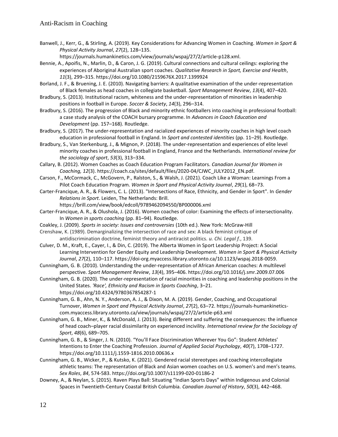Banwell, J., Kerr, G., & Stirling, A. (2019). Key Considerations for Advancing Women in Coaching. *Women in Sport & Physical Activity Journal*, *27*(2), 128–135.

https://journals.humankinetics.com/view/journals/wspaj/27/2/article-p128.xml.

- Bennie, A., Apoifis, N., Marlin, D., & Caron, J. G. (2019). Cultural connections and cultural ceilings: exploring the experiences of Aboriginal Australian sport coaches. *Qualitative Research in Sport, Exercise and Health*, *11*(3), 299–315. https://doi.org/10.1080/2159676X.2017.1399924
- Borland, J. F., & Bruening, J. E. (2010). Navigating barriers: A qualitative examination of the under-representation of Black females as head coaches in collegiate basketball. *Sport Management Review*, *13*(4), 407–420.
- Bradbury, S. (2013). Institutional racism, whiteness and the under-representation of minorities in leadership positions in football in Europe. *Soccer & Society*, *14*(3), 296–314.
- Bradbury, S. (2016). The progression of Black and minority ethnic footballers into coaching in professional football: a case study analysis of the COACH bursary programme. In *Advances in Coach Education and Development* (pp. 157–168). Routledge.
- Bradbury, S. (2017). The under-representation and racialized experiences of minority coaches in high level coach education in professional football in England. In *Sport and contested identities* (pp. 11–29). Routledge.
- Bradbury, S., Van Sterkenburg, J., & Mignon, P. (2018). The under-representation and experiences of elite level minority coaches in professional football in England, France and the Netherlands. *International review for the sociology of sport*, *53*(3), 313–334.
- Callary, B. (2012). Women Coaches as Coach Education Program Facilitators. *Canadian Journal for Women in Coaching, 12*(3). https://coach.ca/sites/default/files/2020-04/CJWC\_JULY2012\_EN.pdf.
- Carson, F., McCormack, C., McGovern, P., Ralston, S., & Walsh, J. (2021). Coach Like a Woman: Learnings From a Pilot Coach Education Program. *Women in Sport and Physical Activity Journal*, *29*(1), 68–73.
- Carter-Francique, A. R., & Flowers, C. L. (2013). "Intersections of Race, Ethnicity, and Gender in Sport". In *Gender Relations in Sport*. Leiden, The Netherlands: Brill.

https://brill.com/view/book/edcoll/9789462094550/BP000006.xml

- Carter-Francique, A. R., & Olushola, J. (2016). Women coaches of color: Examining the effects of intersectionality. In *Women in sports coaching* (pp. 81–94). Routledge.
- Coakley, J. (2009). *Sports in society: Issues and controversies* (10th ed.). New York: McGraw-Hill
- Crenshaw, K. (1989). Demarginalizing the intersection of race and sex: A black feminist critique of antidiscrimination doctrine, feminist theory and antiracist politics. *u. Chi. Legal f.*, 139.
- Culver, D. M., Kraft, E., Cayer, I., & Din, C. (2019). The Alberta Women in Sport Leadership Project: A Social Learning Intervention for Gender Equity and Leadership Development. *Women in Sport & Physical Activity Journal*, *27*(2), 110–117. https://doi-org.myaccess.library.utoronto.ca/10.1123/wspaj.2018-0059.
- Cunningham, G. B. (2010). Understanding the under-representation of African American coaches: A multilevel perspective. *Sport Management Review*, *13*(4), 395–406. https://doi.org/10.1016/j.smr.2009.07.006
- Cunningham, G. B. (2020). The under-representation of racial minorities in coaching and leadership positions in the United States. *'Race', Ethnicity and Racism in Sports Coaching*, 3–21. https://doi.org/10.4324/9780367854287-1
- Cunningham, G. B., Ahn, N. Y., Anderson, A. J., & Dixon, M. A. (2019). Gender, Coaching, and Occupational Turnover, *Women in Sport and Physical Activity Journal*, *27*(2), 63–72. https://journals-humankineticscom.myaccess.library.utoronto.ca/view/journals/wspaj/27/2/article-p63.xml
- Cunningham, G. B., Miner, K., & McDonald, J. (2013). Being different and suffering the consequences: the influence of head coach–player racial dissimilarity on experienced incivility. *International review for the Sociology of Sport*, *48*(6), 689–705.
- Cunningham, G. B., & Singer, J. N. (2010). "You'll Face Discrimination Wherever You Go": Student Athletes' Intentions to Enter the Coaching Profession. *Journal of Applied Social Psychology*, *40*(7), 1708–1727. https://doi.org/10.1111/j.1559-1816.2010.00636.x
- Cunningham, G. B., Wicker, P., & Kutsko, K. (2021). Gendered racial stereotypes and coaching intercollegiate athletic teams: The representation of Black and Asian women coaches on U.S. women's and men's teams. *Sex Roles*, *84*, 574-583. [h](https://doi.org/10.1007/s11199-020-01186-2)ttps://doi.org/10.1007/s11199-020-01186-2
- Downey, A., & Neylan, S. (2015). Raven Plays Ball: Situating "Indian Sports Days" within Indigenous and Colonial Spaces in Twentieth-Century Coastal British Columbia. *Canadian Journal of History*, *50*(3), 442–468.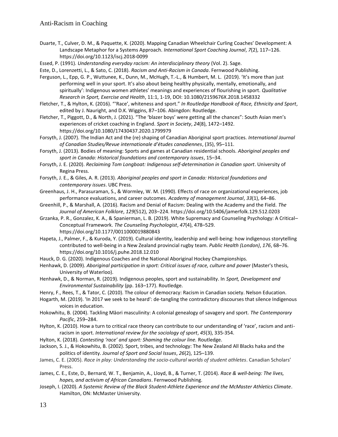- Duarte, T., Culver, D. M., & Paquette, K. (2020). Mapping Canadian Wheelchair Curling Coaches' Development: A Landscape Metaphor for a Systems Approach. *International Sport Coaching Journal*, *7*(2), 117–126. https://doi.org/10.1123/iscj.2018-0099
- Essed, P. (1991). *Understanding everyday racism: An interdisciplinary theory* (Vol. 2). Sage.

Este, D., Lorenzetti, L., & Sato, C. (2018). *Racism and Anti-Racism in Canada*. Fernwood Publishing.

- Ferguson, L., Epp, G. P., Wuttunee, K., Dunn, M., McHugh, T.-L., & Humbert, M. L. (2019). 'It's more than just performing well in your sport. It's also about being healthy physically, mentally, emotionally, and spiritually': Indigenous women athletes' meanings and experiences of flourishing in sport. *Qualitative Research in Sport, Exercise and Health*, 11:1, 1-19, DOI: 10.1080/2159676X.2018.1458332
- Fletcher, T., & Hylton, K. (2016). "'Race', whiteness and sport." *In Routledge Handbook of Race, Ethnicity and Sport*, edited by J. Nauright, and D.K. Wiggins, 87–106. Abingdon: Routledge.
- Fletcher, T., Piggott, D., & North, J. (2021). "The 'blazer boys' were getting all the chances": South Asian men's experiences of cricket coaching in England. *Sport in Society*, *24*(8), 1472–1492. https://doi.org/10.1080/17430437.2020.1799979
- Forsyth, J. (2007). The Indian Act and the (re) shaping of Canadian Aboriginal sport practices. *International Journal of Canadian Studies/Revue internationale d'études canadiennes*, (35), 95–111.
- Forsyth, J. (2013). Bodies of meaning: Sports and games at Canadian residential schools. *Aboriginal peoples and sport in Canada: Historical foundations and contemporary issues*, 15–34.
- Forsyth, J. E. (2020). *Reclaiming Tom Longboat: Indigenous self-determination in Canadian sport*. University of Regina Press.
- Forsyth, J. E., & Giles, A. R. (2013). *Aboriginal peoples and sport in Canada: Historical foundations and contemporary issues*. UBC Press.
- Greenhaus, J. H., Parasuraman, S., & Wormley, W. M. (1990). Effects of race on organizational experiences, job performance evaluations, and career outcomes. *Academy of management Journal*, *33*(1), 64–86.
- Greenhill, P., & Marshall, A. (2016). Racism and Denial of Racism: Dealing with the Academy and the Field. *The Journal of American Folklore*, *129*(512), 203–224. https://doi.org/10.5406/jamerfolk.129.512.0203
- Grzanka, P. R., Gonzalez, K. A., & Spanierman, L. B. (2019). White Supremacy and Counseling Psychology: A Critical– Conceptual Framework. *The Counseling Psychologist*, *47*(4), 478–529. https://doi.org/10.1177/0011000019880843
- [Hapeta, J., Palmer, F., & Kuroda, Y. \(2019\). Cultural identity, leadership and well-being: how indigenous storytelling](https://librarysearch.library.utoronto.ca/discovery/fulldisplay?docid=cdi_proquest_miscellaneous_2229096992&context=PC&vid=01UTORONTO_INST:UTORONTO&lang=en&search_scope=UTL_AND_CI&adaptor=Primo%20Central&tab=Everything&query=any%2Ccontains%2Cindigenous%20sport%20coach&offset=0)  [contributed to well-being in a New Zealand provincial rugby team.](https://librarysearch.library.utoronto.ca/discovery/fulldisplay?docid=cdi_proquest_miscellaneous_2229096992&context=PC&vid=01UTORONTO_INST:UTORONTO&lang=en&search_scope=UTL_AND_CI&adaptor=Primo%20Central&tab=Everything&query=any%2Ccontains%2Cindigenous%20sport%20coach&offset=0) *[Public Health \(London\)](https://librarysearch.library.utoronto.ca/discovery/fulldisplay?docid=cdi_proquest_miscellaneous_2229096992&context=PC&vid=01UTORONTO_INST:UTORONTO&lang=en&search_scope=UTL_AND_CI&adaptor=Primo%20Central&tab=Everything&query=any%2Ccontains%2Cindigenous%20sport%20coach&offset=0)*[,](https://librarysearch.library.utoronto.ca/discovery/fulldisplay?docid=cdi_proquest_miscellaneous_2229096992&context=PC&vid=01UTORONTO_INST:UTORONTO&lang=en&search_scope=UTL_AND_CI&adaptor=Primo%20Central&tab=Everything&query=any%2Ccontains%2Cindigenous%20sport%20coach&offset=0) *[176](https://librarysearch.library.utoronto.ca/discovery/fulldisplay?docid=cdi_proquest_miscellaneous_2229096992&context=PC&vid=01UTORONTO_INST:UTORONTO&lang=en&search_scope=UTL_AND_CI&adaptor=Primo%20Central&tab=Everything&query=any%2Ccontains%2Cindigenous%20sport%20coach&offset=0)*[, 68](https://librarysearch.library.utoronto.ca/discovery/fulldisplay?docid=cdi_proquest_miscellaneous_2229096992&context=PC&vid=01UTORONTO_INST:UTORONTO&lang=en&search_scope=UTL_AND_CI&adaptor=Primo%20Central&tab=Everything&query=any%2Ccontains%2Cindigenous%20sport%20coach&offset=0)–76. <https://doi.org/10.1016/j.puhe.2018.12.010>
- Hauck, D. G. (2020). Indigenous Coaches and the National Aboriginal Hockey Championships.
- Henhawk, D. (2009). *Aboriginal participation in sport: Critical issues of race, culture and power* (Master's thesis, University of Waterloo).
- Henhawk, D., & Norman, R. (2019). Indigenous peoples, sport and sustainability. In *Sport, Development and Environmental Sustainability* (pp. 163–177). Routledge.
- Henry, F., Rees, T., & Tator, C. (2010). The colour of democracy: Racism in Canadian society. Nelson Education.
- Hogarth, M. (2019). 'In 2017 we seek to be heard': de-tangling the contradictory discourses that silence Indigenous voices in education.
- Hokowhitu, B. (2004). Tackling Māori masculinity: A colonial genealogy of savagery and sport. *The Contemporary Pacific*, 259–284.
- Hylton, K. (2010). How a turn to critical race theory can contribute to our understanding of 'race', racism and antiracism in sport. *International review for the sociology of sport*, *45*(3), 335-354.
- Hylton, K. (2018). *Contesting 'race' and sport: Shaming the colour line.* Routledge.
- Jackson, S. J., & Hokowhitu, B. (2002). Sport, tribes, and technology: The New Zealand All Blacks haka and the politics of identity. *Journal of Sport and Social Issues*, *26*(2), 125–139.
- James, C. E. (2005). *Race in play: Understanding the socio-cultural worlds of student athletes*. Canadian Scholars' Press.
- James, C. E., Este, D., Bernard, W. T., Benjamin, A., Lloyd, B., & Turner, T. (2014). *Race & well-being: The lives, hopes, and activism of African Canadians*. Fernwood Publishing.
- Joseph, I. (2020). *A Systemic Review of the Black Student-Athlete Experience and the McMaster Athletics Climate*. Hamilton, ON: McMaster University.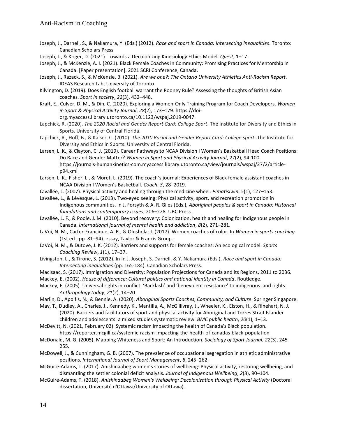- Joseph, J., Darnell, S., & Nakamura, Y. (Eds.) (2012). *Race and sport in Canada: Intersecting inequalities*. Toronto: Canadian Scholars Press
- Joseph, J., & Kriger, D. (2021). Towards a Decolonizing Kinesiology Ethics Model. *Quest*, 1–17.

Joseph, J., & McKenzie, A. I. (2021). Black Female Coaches in Community: Promising Practices for Mentorship in Canada. [Paper presentation]. 2021 SCRI Conference, Canada.

- Joseph, J., Razack, S., & McKenzie, B. (2021). *Are we one?: The Ontario University Athletics Anti-Racism Report*. IDEAS Research Lab, University of Toronto.
- Kilvington, D. (2019). Does English football warrant the Rooney Rule? Assessing the thoughts of British Asian coaches. *Sport in society*, *22*(3), 432–448.
- Kraft, E., Culver, D. M., & Din, C. (2020). Exploring a Women-Only Training Program for Coach Developers. *Women in Sport & Physical Activity Journal*, *28*(2), 173–179. https://doi
	- org.myaccess.library.utoronto.ca/10.1123/wspaj.2019-0047.
- Lapchick, R. (2020). *The 2020 Racial and Gender Report Card: College Sport*. The Institute for Diversity and Ethics in Sports. University of Central Florida.
- Lapchick, R., Hoff, B., & Kaiser, C. (2010). *The 2010 Racial and Gender Report Card: College sport.* The Institute for Diversity and Ethics in Sports. University of Central Florida.
- Larsen, L. K., & Clayton, C. J. (2019). Career Pathways to NCAA Division I Women's Basketball Head Coach Positions: Do Race and Gender Matter? *Women in Sport and Physical Activity Journal*, *27*(2), 94-100. https://journals-humankinetics-com.myaccess.library.utoronto.ca/view/journals/wspaj/27/2/articlep94.xml
- Larsen, L. K., Fisher, L., & Moret, L. (2019). The coach's journal: Experiences of Black female assistant coaches in NCAA Division I Women's Basketball. *Coach*, *3*, 28–2019.
- Lavallée, L. (2007). Physical activity and healing through the medicine wheel. *Pimatisiwin*, *5*(1), 127–153.
- Lavallée, L., & Lévesque, L. (2013). Two-eyed seeing: Physical activity, sport, and recreation promotion in Indigenous communities. In J. Forsyth & A. R. Giles (Eds.), *Aboriginal peoples & sport in Canada: Historical foundations and contemporary issues*, 206–228. UBC Press.
- Lavallée, L. F., & Poole, J. M. (2010). Beyond recovery: Colonization, health and healing for Indigenous people in Canada. *International journal of mental health and addiction*, *8*(2), 271–281.
- LaVoi, N. M., Carter-Francique, A. R., & Olushola, J. (2017). Women coaches of color. In *Women in sports coaching* (1st ed., pp. 81–94). essay, Taylor & Francis Group.
- LaVoi, N. M., & Dutove, J. K. (2012). Barriers and supports for female coaches: An ecological model. *Sports Coaching Review*, *1*(1), 17–37.
- Livingston, L., & Tirone, S. (2012). In In J. Joseph, S. Darnell, & Y. Nakamura (Eds.), *Race and sport in Canada: Intersecting inequalities* (pp. 165-184). Canadian Scholars Press.
- MacIsaac, S. (2017). Immigration and Diversity: Population Projections for Canada and its Regions, 2011 to 2036.
- Mackey, E. (2002). *House of difference: Cultural politics and national identity in Canada*. Routledge.
- Mackey, E. (2005). Universal rights in conflict: 'Backlash' and 'benevolent resistance' to indigenous land rights. *Anthropology today*, *21*(2), 14–20.
- Marlin, D., Apoifis, N., & Bennie, A. (2020). *Aboriginal Sports Coaches, Community, and Culture*. Springer Singapore.

May, T., Dudley, A., Charles, J., Kennedy, K., Mantilla, A., McGillivray, J., Wheeler, K., Elston, H., & Rinehart, N. J. (2020). Barriers and facilitators of sport and physical activity for Aboriginal and Torres Strait Islander children and adolescents: a mixed studies systematic review. *BMC public health*, *20*(1), 1–13.

- McDevitt, N. (2021, February 02). Systemic racism impacting the health of Canada's Black population. https://reporter.mcgill.ca/systemic-racism-impacting-the-health-of-canadas-black-population
- McDonald, M. G. (2005). Mapping Whiteness and Sport: An Introduction. *Sociology of Sport Journal*, *22*(3), 245- 255.
- McDowell, J., & Cunningham, G. B. (2007). The prevalence of occupational segregation in athletic administrative positions. *International Journal of Sport Management*, *8*, 245–262.
- McGuire-Adams, T. (2017). Anishinaabeg women's stories of wellbeing: Physical activity, restoring wellbeing, and dismantling the settler colonial deficit analysis. *Journal of Indigenous Wellbeing*, *2*(3), 90–104.
- McGuire-Adams, T. (2018). *Anishinaabeg Women's Wellbeing: Decolonization through Physical Activity* (Doctoral dissertation, Université d'Ottawa/University of Ottawa).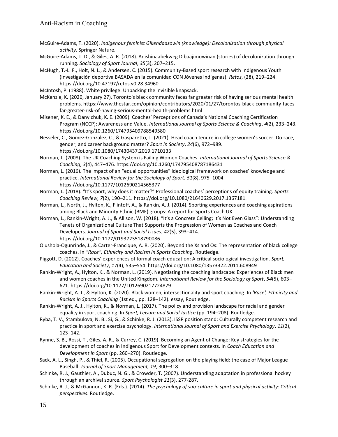- McGuire-Adams, T. (2020). *Indigenous feminist Gikendaasowin (knowledge): Decolonization through physical activity*. Springer Nature.
- McGuire-Adams, T. D., & Giles, A. R. (2018). Anishinaabekweg Dibaajimowinan (stories) of decolonization through running. *Sociology of Sport Journal*, *35*(3), 207–215.
- McHugh, T.-L. F., Holt, N. L., & Andersen, C. (2015). Community-Based sport research with Indigenous Youth (Investigación deportiva BASADA en la comunidad CON Jóvenes indígenas). *Retos*, (28), 219–224. https://doi.org/10.47197/retos.v0i28.34960
- McIntosh, P. (1988). White privilege: Unpacking the invisible knapsack.
- McKenzie, K. (2020, January 27). Toronto's black community faces far greater risk of having serious mental health problems. https://www.thestar.com/opinion/contributors/2020/01/27/torontos-black-community-facesfar-greater-risk-of-having-serious-mental-health-problems.html
- Misener, K. E., & Danylchuk, K. E. (2009). Coaches' Perceptions of Canada's National Coaching Certification Program (NCCP): Awareness and Value. *International Journal of Sports Science & Coaching*, *4*(2), 233–243. https://doi.org/10.1260/174795409788549580
- Nesseler, C., Gomez-Gonzalez, C., & Gasparetto, T. (2021). Head coach tenure in college women's soccer. Do race, gender, and career background matter? *Sport in Society*, *24*(6), 972–989[.](https://doi.org/10.1080/17430437.2019.1710133) https://doi.org/10.1080/17430437.2019.1710133
- Norman, L. (2008). The UK Coaching System is Failing Women Coaches. *International Journal of Sports Science & Coaching*, *3*(4), 447–476. https://doi.org/10.1260/174795408787186431
- Norman, L. (2016). The impact of an "equal opportunities" ideological framework on coaches' knowledge and practice. *International Review for the Sociology of Sport*, *51*(8), 975–1004. https://doi.org/10.1177/1012690214565377
- Norman, L. (2018). "It's sport, why does it matter?" Professional coaches' perceptions of equity training. *Sports Coaching Review, 7*(2), 190–211. https://doi.org/10.1080/21640629.2017.1367181.
- Norman, L., North, J., Hylton, K., Flintoff, A., & Rankin, A. J. (2014). Sporting experiences and coaching aspirations among Black and Minority Ethnic (BME) groups: A report for Sports Coach UK.
- Norman, L., Rankin-Wright, A. J., & Allison, W. (2018). "It's a Concrete Ceiling; It's Not Even Glass": Understanding Tenets of Organizational Culture That Supports the Progression of Women as Coaches and Coach Developers. *Journal of Sport and Social Issues*, *42*(5), 393–414. https://doi.org/10.1177/0193723518790086
- Olushola-Ogunrinde, J., & Carter-Francique, A. R. (2020). Beyond the Xs and Os: The representation of black college coaches. In *"Race", Ethnicity and Racism in Sports Coaching*. Routledge.
- Piggott, D. (2012). Coaches' experiences of formal coach education: A critical sociological investigation. *Sport, Education and Society*, *17*(4), 535–554. https://doi.org/10.1080/13573322.2011.608949
- Rankin-Wright, A., Hylton, K., & Norman, L. (2019). Negotiating the coaching landscape: Experiences of Black men and women coaches in the United Kingdom. *International Review for the Sociology of Sport*, *54*(5), 603– 62[1.](https://doi.org/10.1177/1012690217724879) https://doi.org/10.1177/1012690217724879
- Rankin-Wright, A. J., & Hylton, K. (2020). Black women, intersectionality and sport coaching. In *'Race', Ethnicity and Racism in Sports Coaching* (1st ed., pp. 128–142). essay, Routledge.
- Rankin-Wright, A. J., Hylton, K., & Norman, L. (2017). The policy and provision landscape for racial and gender equality in sport coaching. In *Sport, Leisure and Social Justice* (pp. 194–208). Routledge.
- Ryba, T. V., Stambulova, N. B., Si, G., & Schinke, R. J. (2013). ISSP position stand: Culturally competent research and practice in sport and exercise psychology. *International Journal of Sport and Exercise Psychology*, *11*(2), 123–142.
- Rynne, S. B., Rossi, T., Giles, A. R., & Currey, C. (2019). Becoming an Agent of Change: Key strategies for the development of coaches in Indigenous Sport for Development contexts. In *[Coach Education and](https://librarysearch.library.utoronto.ca/discovery/fulldisplay?docid=cdi_informaworld_taylorfrancisbooks_10_4324_9780429351037_22_version2&context=PC&vid=01UTORONTO_INST:UTORONTO&lang=en&search_scope=UTL_AND_CI&adaptor=Primo%20Central&tab=Everything&query=any%2Ccontains%2Cindigenous%20sport%20coach&offset=0)  [Development in Sport](https://librarysearch.library.utoronto.ca/discovery/fulldisplay?docid=cdi_informaworld_taylorfrancisbooks_10_4324_9780429351037_22_version2&context=PC&vid=01UTORONTO_INST:UTORONTO&lang=en&search_scope=UTL_AND_CI&adaptor=Primo%20Central&tab=Everything&query=any%2Ccontains%2Cindigenous%20sport%20coach&offset=0)* (pp. 260–270). Routledge.
- Sack, A. L., Singh, P., & Thiel, R. (2005). Occupational segregation on the playing field: the case of Major League Baseball. *Journal of Sport Management, 19*, 300–318.
- Schinke, R. J., Gauthier, A., Dubuc, N. G., & Crowder, T. (2007). Understanding adaptation in professional hockey through an archival source. *Sport Psychologist 21*(3), 277-287.
- Schinke, R. J., & McGannon, K. R. (Eds.). (2014). *The psychology of sub-culture in sport and physical activity: Critical perspectives*. Routledge.